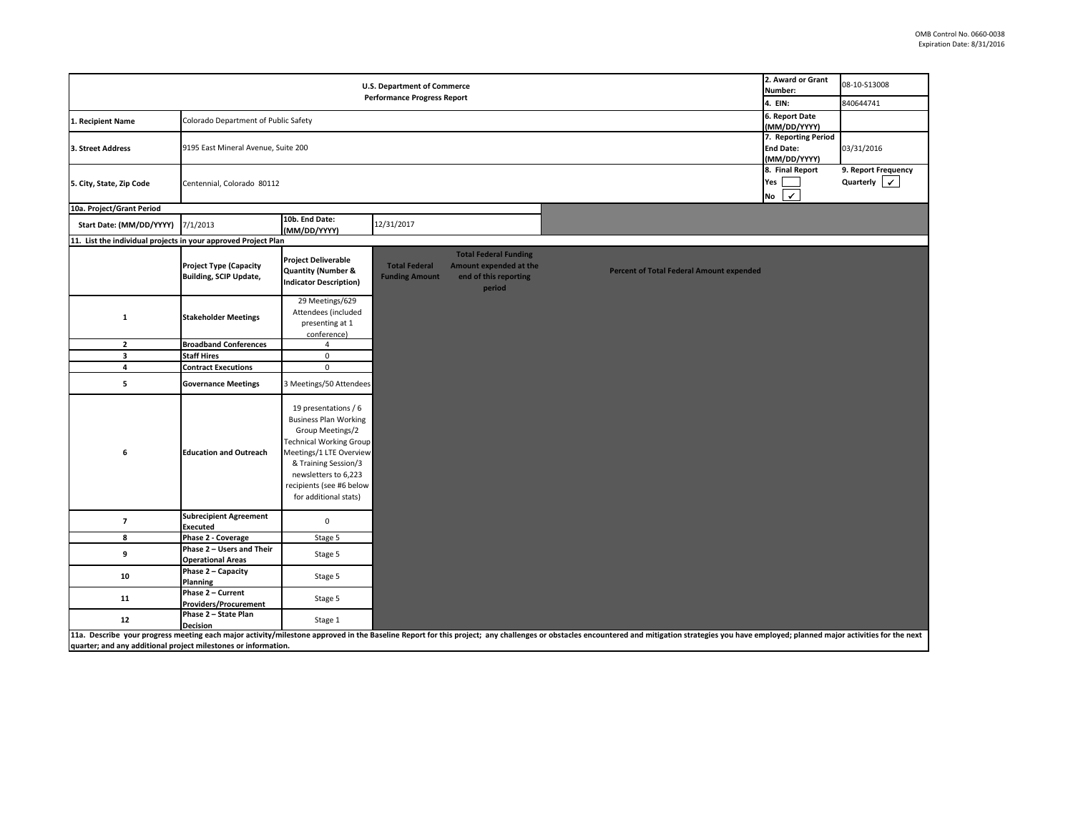| 2. Award or Grant<br><b>U.S. Department of Commerce</b><br>Number:<br><b>Performance Progress Report</b> |                                                                |                                                                                                                                                                                                                                            |                                               |                                                                                           |                                                                                                                                                                                                                                |                                                    | 08-10-S13008<br>840644741                           |
|----------------------------------------------------------------------------------------------------------|----------------------------------------------------------------|--------------------------------------------------------------------------------------------------------------------------------------------------------------------------------------------------------------------------------------------|-----------------------------------------------|-------------------------------------------------------------------------------------------|--------------------------------------------------------------------------------------------------------------------------------------------------------------------------------------------------------------------------------|----------------------------------------------------|-----------------------------------------------------|
| 1. Recipient Name                                                                                        | Colorado Department of Public Safety                           | 4. EIN:<br>6. Report Date                                                                                                                                                                                                                  |                                               |                                                                                           |                                                                                                                                                                                                                                |                                                    |                                                     |
| 3. Street Address                                                                                        | 9195 East Mineral Avenue, Suite 200                            | (MM/DD/YYYY)<br>7. Reporting Period<br><b>End Date:</b><br>(MM/DD/YYYY)                                                                                                                                                                    | 03/31/2016                                    |                                                                                           |                                                                                                                                                                                                                                |                                                    |                                                     |
| 5. City, State, Zip Code                                                                                 | Centennial, Colorado 80112                                     |                                                                                                                                                                                                                                            |                                               |                                                                                           |                                                                                                                                                                                                                                | 8. Final Report<br>Yes<br>$\vert \checkmark$<br>No | 9. Report Frequency<br>Quarterly $\vert \checkmark$ |
| 10a. Project/Grant Period                                                                                |                                                                |                                                                                                                                                                                                                                            |                                               |                                                                                           |                                                                                                                                                                                                                                |                                                    |                                                     |
| Start Date: (MM/DD/YYYY)                                                                                 | 7/1/2013                                                       | 10b. End Date:<br>(MM/DD/YYYY)                                                                                                                                                                                                             | 12/31/2017                                    |                                                                                           |                                                                                                                                                                                                                                |                                                    |                                                     |
| 11. List the individual projects in your approved Project Plan                                           |                                                                |                                                                                                                                                                                                                                            |                                               |                                                                                           |                                                                                                                                                                                                                                |                                                    |                                                     |
|                                                                                                          | <b>Project Type (Capacity</b><br><b>Building, SCIP Update,</b> | <b>Project Deliverable</b><br><b>Quantity (Number &amp;</b><br><b>Indicator Description)</b>                                                                                                                                               | <b>Total Federal</b><br><b>Funding Amount</b> | <b>Total Federal Funding</b><br>Amount expended at the<br>end of this reporting<br>period | <b>Percent of Total Federal Amount expended</b>                                                                                                                                                                                |                                                    |                                                     |
| 1                                                                                                        | <b>Stakeholder Meetings</b>                                    | 29 Meetings/629<br>Attendees (included<br>presenting at 1<br>conference)                                                                                                                                                                   |                                               |                                                                                           |                                                                                                                                                                                                                                |                                                    |                                                     |
| $\overline{2}$                                                                                           | <b>Broadband Conferences</b>                                   | $\overline{4}$                                                                                                                                                                                                                             |                                               |                                                                                           |                                                                                                                                                                                                                                |                                                    |                                                     |
| $\overline{\mathbf{3}}$                                                                                  | <b>Staff Hires</b>                                             | $\mathbf 0$                                                                                                                                                                                                                                |                                               |                                                                                           |                                                                                                                                                                                                                                |                                                    |                                                     |
| $\overline{4}$                                                                                           | <b>Contract Executions</b>                                     | $\pmb{0}$                                                                                                                                                                                                                                  |                                               |                                                                                           |                                                                                                                                                                                                                                |                                                    |                                                     |
| 5                                                                                                        | <b>Governance Meetings</b>                                     | 3 Meetings/50 Attendees                                                                                                                                                                                                                    |                                               |                                                                                           |                                                                                                                                                                                                                                |                                                    |                                                     |
| 6                                                                                                        | <b>Education and Outreach</b>                                  | 19 presentations / 6<br><b>Business Plan Working</b><br>Group Meetings/2<br><b>Technical Working Group</b><br>Meetings/1 LTE Overview<br>& Training Session/3<br>newsletters to 6,223<br>recipients (see #6 below<br>for additional stats) |                                               |                                                                                           |                                                                                                                                                                                                                                |                                                    |                                                     |
| $\overline{7}$                                                                                           | <b>Subrecipient Agreement</b><br><b>Executed</b>               | $\mathbf 0$                                                                                                                                                                                                                                |                                               |                                                                                           |                                                                                                                                                                                                                                |                                                    |                                                     |
| 8                                                                                                        | Phase 2 - Coverage                                             | Stage 5                                                                                                                                                                                                                                    |                                               |                                                                                           |                                                                                                                                                                                                                                |                                                    |                                                     |
| 9                                                                                                        | Phase 2 - Users and Their<br><b>Operational Areas</b>          | Stage 5                                                                                                                                                                                                                                    |                                               |                                                                                           |                                                                                                                                                                                                                                |                                                    |                                                     |
| 10                                                                                                       | Phase 2 - Capacity<br>Planning                                 | Stage 5                                                                                                                                                                                                                                    |                                               |                                                                                           |                                                                                                                                                                                                                                |                                                    |                                                     |
| 11                                                                                                       | Phase 2 - Current<br><b>Providers/Procurement</b>              | Stage 5                                                                                                                                                                                                                                    |                                               |                                                                                           |                                                                                                                                                                                                                                |                                                    |                                                     |
| 12                                                                                                       | Phase 2 - State Plan<br><b>Decision</b>                        | Stage 1                                                                                                                                                                                                                                    |                                               |                                                                                           |                                                                                                                                                                                                                                |                                                    |                                                     |
| quarter; and any additional project milestones or information.                                           |                                                                |                                                                                                                                                                                                                                            |                                               |                                                                                           | 11a. Describe your progress meeting each major activity/milestone approved in the Baseline Report for this project; any challenges or obstacles encountered and mitigation strategies you have employed; planned major activit |                                                    |                                                     |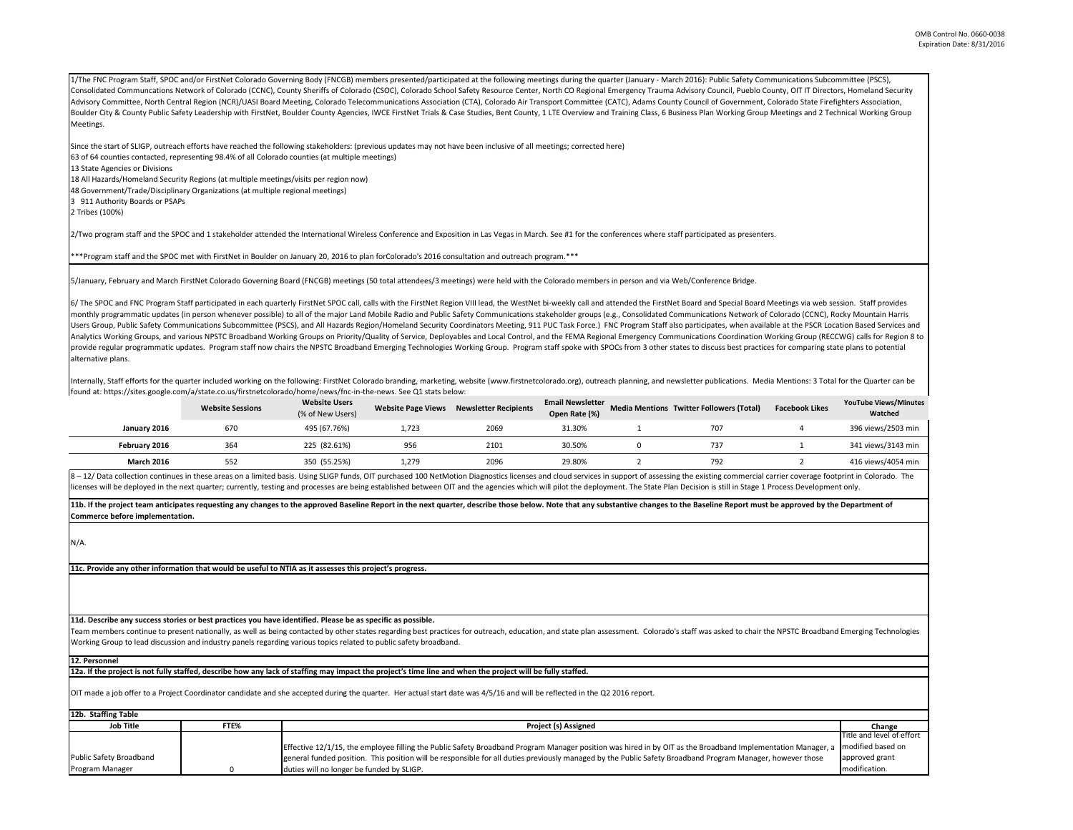1/The FNC Program Staff, SPOC and/or FirstNet Colorado Governing Body (FNCGB) members presented/participated at the following meetings during the quarter (January - March 2016): Public Safety Communications Subcommittee (P Consolidated Communcations Network of Colorado (CCNC), County Sheriffs of Colorado (CSOC), Colorado School Safety Resource Center, North CO Regional Emergency Trauma Advisory Council, Pueblo County, OIT IT Directors, Homel Advisory Committee, North Central Region (NCR)/UASI Board Meeting, Colorado Telecommunications Association (CTA), Colorado Air Transport Committee (CATC), Adams County Council of Government, Colorado State Firefighters Ass Boulder City & County Public Safety Leadership with FirstNet, Boulder County Agencies, IWCE FirstNet Trials & Case Studies, Bent County, 1 LTE Overview and Training Class, 6 Business Plan Working Group Meetings and 2 Techn Meetings.

Since the start of SLIGP, outreach efforts have reached the following stakeholders: (previous updates may not have been inclusive of all meetings; corrected here) 63 of 64 counties contacted, representing 98.4% of all Colorado counties (at multiple meetings) 13 State Agencies or Divisions 18 All Hazards/Homeland Security Regions (at multiple meetings/visits per region now) 48 Government/Trade/Disciplinary Organizations (at multiple regional meetings) 3 911 Authority Boards or PSAPs

2 Tribes (100%)

2/Two program staff and the SPOC and 1 stakeholder attended the International Wireless Conference and Exposition in Las Vegas in March. See #1 for the conferences where staff participated as presenters.

\*\*\*Program staff and the SPOC met with FirstNet in Boulder on January 20, 2016 to plan forColorado's 2016 consultation and outreach program.\*\*\*

5/January, February and March FirstNet Colorado Governing Board (FNCGB) meetings (50 total attendees/3 meetings) were held with the Colorado members in person and via Web/Conference Bridge.

6/ The SPOC and FNC Program Staff participated in each quarterly FirstNet SPOC call, calls with the FirstNet Region VIII lead, the WestNet bi-weekly call and attended the FirstNet Board and Special Board Meetings via web s monthly programmatic updates (in person whenever possible) to all of the major Land Mobile Radio and Public Safety Communications stakeholder groups (e.g., Consolidated Communications Network of Colorado (CCNC), Rocky Moun Users Group, Public Safety Communications Subcommittee (PSCS), and All Hazards Region/Homeland Security Coordinators Meeting, 911 PUC Task Force.) FNC Program Staff also participates, when available at the PSCR Location Ba Analytics Working Groups, and various NPSTC Broadband Working Groups on Priority/Quality of Service, Deployables and Local Control, and the FEMA Regional Emergency Communications Coordination Working Group (RECCWG) calls f provide regular programmatic updates. Program staff now chairs the NPSTC Broadband Emerging Technologies Working Group. Program staff spoke with SPOCs from 3 other states to discuss best practices for comparing state plans alternative plans.

Internally, Staff efforts for the quarter included working on the following: FirstNet Colorado branding, marketing, website (www.firstnetcolorado.org), outreach planning, and newsletter publications. Media Mentions: 3 Tota found at: https://sites.google.com/a/state.co.us/firstnetcolorado/home/news/fnc-in-the-news. See Q1 stats below:

|                   | <b>Website Sessions</b> | <b>Website Users</b><br>(% of New Users) | <b>Website Page Views</b> | <b>Newsletter Recipients</b> | <b>Email Newsletter</b><br>Open Rate (%) | <b>Media Mentions Twitter Followers (Total)</b> | <b>Facebook Likes</b> | <b>YouTube Views/Minutes</b><br>Watched |
|-------------------|-------------------------|------------------------------------------|---------------------------|------------------------------|------------------------------------------|-------------------------------------------------|-----------------------|-----------------------------------------|
| January 2016      | 670                     | 495 (67.76%)                             | 1.723                     | 2069                         | 31.30%                                   | 707                                             |                       | 396 views/2503 min                      |
| February 2016     | 364                     | 225 (82.61%)                             | 956                       | 2101                         | 30.50%                                   | 737                                             |                       | 341 views/3143 min                      |
| <b>March 2016</b> | 552                     | 350 (55.25%)                             | 1.279                     | 2096                         | 29.80%                                   | 792                                             |                       | 416 views/4054 min                      |

8-12/Data collection continues in these areas on a limited basis. Using SLIGP funds. OIT purchased 100 NetMotion Diagnostics licenses and cloud services in support of assessing the existing commercial carrier coverage foot licenses will be deploved in the next quarter; currently, testing and processes are being established between OIT and the agencies which will pilot the deployment. The State Plan Decision is still in Stage 1 Process Develo

11b. If the project team anticipates requesting any changes to the approved Baseline Report in the next quarter, describe those below. Note that any substantive changes to the Baseline Report must be approved by the Depart **Commerce before implementation.** 

N/A.

**11c. Provide any other information that would be useful to NTIA as it assesses this project's progress.** 

**11d. Describe any success stories or best practices you have identified. Please be as specific as possible.**

Team members continue to present nationally, as well as being contacted by other states regarding best practices for outreach, education, and state plan assessment. Colorado's staff was asked to chair the NPSTC Broadband E Working Group to lead discussion and industry panels regarding various topics related to public safety broadband.

**12. Personnel** 

**12a. If the project is not fully staffed, describe how any lack of staffing may impact the project's time line and when the project will be fully staffed.**

OIT made a job offer to a Project Coordinator candidate and she accepted during the quarter. Her actual start date was 4/5/16 and will be reflected in the Q2 2016 report.

| 12b. Staffing Table     |      |                                                                                                                                                             |                           |
|-------------------------|------|-------------------------------------------------------------------------------------------------------------------------------------------------------------|---------------------------|
| <b>Job Title</b>        | FTE% | Project (s) Assigned                                                                                                                                        | Change                    |
|                         |      |                                                                                                                                                             | Title and level of effort |
|                         |      | Effective 12/1/15, the employee filling the Public Safety Broadband Program Manager position was hired in by OIT as the Broadband Implementation Manager, a | modified based on         |
| Public Safety Broadband |      | general funded position. This position will be responsible for all duties previously managed by the Public Safety Broadband Program Manager, however those  | approved grant            |
| Program Manager         |      | duties will no longer be funded by SLIGP.                                                                                                                   | modification.             |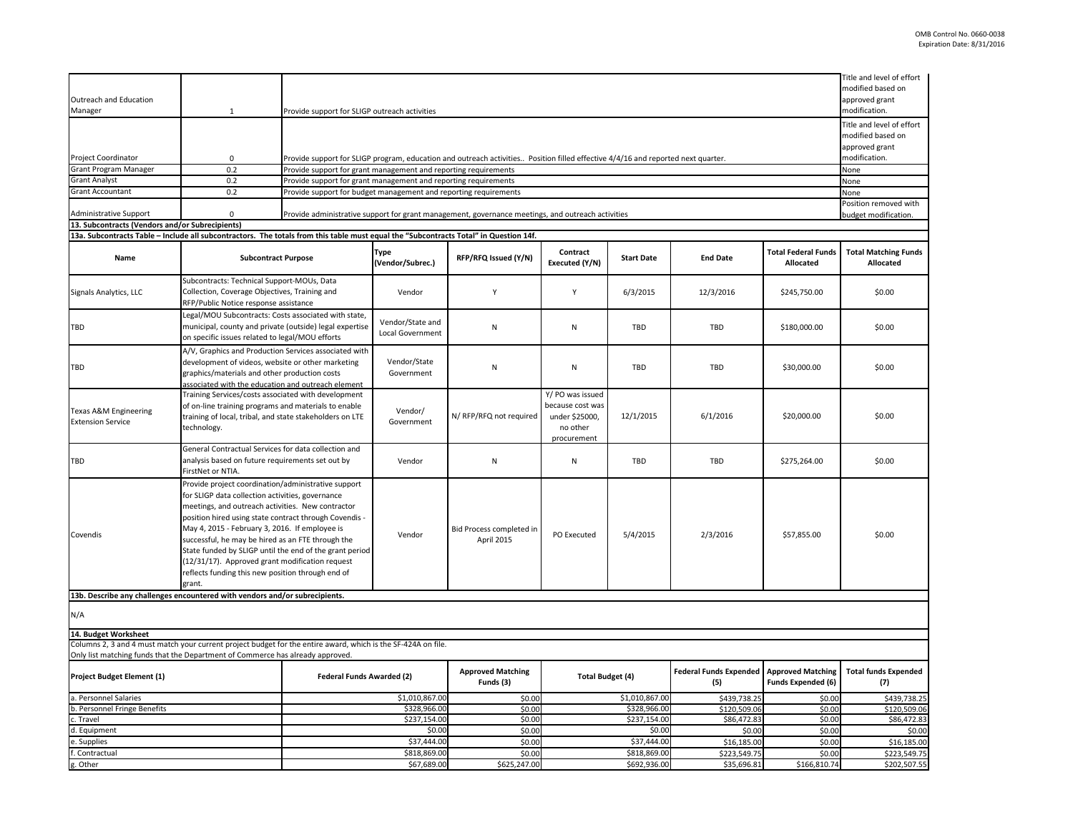| Outreach and Education<br>Manager                                                                                                                                                               | 1                                                                                                                                                                                                                                                                                                                                                                                                                                                                                                          | modified based on<br>approved grant<br>Provide support for SLIGP outreach activities                                             |                                       |                                        |                                                                                   |                                      |                                                       |                                         |                                                                                   |
|-------------------------------------------------------------------------------------------------------------------------------------------------------------------------------------------------|------------------------------------------------------------------------------------------------------------------------------------------------------------------------------------------------------------------------------------------------------------------------------------------------------------------------------------------------------------------------------------------------------------------------------------------------------------------------------------------------------------|----------------------------------------------------------------------------------------------------------------------------------|---------------------------------------|----------------------------------------|-----------------------------------------------------------------------------------|--------------------------------------|-------------------------------------------------------|-----------------------------------------|-----------------------------------------------------------------------------------|
|                                                                                                                                                                                                 |                                                                                                                                                                                                                                                                                                                                                                                                                                                                                                            |                                                                                                                                  |                                       |                                        |                                                                                   |                                      |                                                       |                                         | modification.<br>Title and level of effort<br>modified based on<br>approved grant |
| Project Coordinator                                                                                                                                                                             | $\mathbf 0$                                                                                                                                                                                                                                                                                                                                                                                                                                                                                                | Provide support for SLIGP program, education and outreach activities Position filled effective 4/4/16 and reported next quarter. |                                       |                                        |                                                                                   |                                      |                                                       |                                         |                                                                                   |
| <b>Grant Program Manager</b>                                                                                                                                                                    | 0.2                                                                                                                                                                                                                                                                                                                                                                                                                                                                                                        | Provide support for grant management and reporting requirements                                                                  |                                       |                                        |                                                                                   |                                      |                                                       |                                         | None                                                                              |
| <b>Grant Analyst</b>                                                                                                                                                                            | 0.2                                                                                                                                                                                                                                                                                                                                                                                                                                                                                                        | Provide support for grant management and reporting requirements                                                                  |                                       |                                        |                                                                                   |                                      |                                                       |                                         | None                                                                              |
| <b>Grant Accountant</b>                                                                                                                                                                         | 0.2                                                                                                                                                                                                                                                                                                                                                                                                                                                                                                        | Provide support for budget management and reporting requirements                                                                 |                                       |                                        |                                                                                   |                                      |                                                       |                                         | None<br>Position removed with                                                     |
| <b>Administrative Support</b><br>13. Subcontracts (Vendors and/or Subrecipients)                                                                                                                | $\mathbf{0}$                                                                                                                                                                                                                                                                                                                                                                                                                                                                                               | Provide administrative support for grant management, governance meetings, and outreach activities<br>budget modification.        |                                       |                                        |                                                                                   |                                      |                                                       |                                         |                                                                                   |
| 13a. Subcontracts Table - Include all subcontractors. The totals from this table must equal the "Subcontracts Total" in Question 14f.                                                           |                                                                                                                                                                                                                                                                                                                                                                                                                                                                                                            |                                                                                                                                  |                                       |                                        |                                                                                   |                                      |                                                       |                                         |                                                                                   |
| Name                                                                                                                                                                                            | <b>Subcontract Purpose</b>                                                                                                                                                                                                                                                                                                                                                                                                                                                                                 |                                                                                                                                  | <b>Type</b><br>(Vendor/Subrec.)       | RFP/RFQ Issued (Y/N)                   | Contract<br>Executed (Y/N)                                                        | <b>Start Date</b>                    | <b>End Date</b>                                       | <b>Total Federal Funds</b><br>Allocated | <b>Total Matching Funds</b><br>Allocated                                          |
| Signals Analytics, LLC                                                                                                                                                                          | Subcontracts: Technical Support-MOUs, Data<br>Collection, Coverage Objectives, Training and<br>RFP/Public Notice response assistance                                                                                                                                                                                                                                                                                                                                                                       |                                                                                                                                  | Vendor                                | Y                                      | Y                                                                                 | 6/3/2015                             | 12/3/2016                                             | \$245,750.00                            | \$0.00                                                                            |
| TBD                                                                                                                                                                                             | Legal/MOU Subcontracts: Costs associated with state,<br>municipal, county and private (outside) legal expertise<br>on specific issues related to legal/MOU efforts                                                                                                                                                                                                                                                                                                                                         |                                                                                                                                  | Vendor/State and<br>Local Government  | N                                      | ${\sf N}$                                                                         | TBD                                  | TBD                                                   | \$180,000.00                            | \$0.00                                                                            |
| TBD                                                                                                                                                                                             | A/V, Graphics and Production Services associated with<br>development of videos, website or other marketing<br>graphics/materials and other production costs<br>associated with the education and outreach element                                                                                                                                                                                                                                                                                          |                                                                                                                                  | Vendor/State<br>Government            | N                                      | N                                                                                 | <b>TBD</b>                           | TBD                                                   | \$30,000.00                             | \$0.00                                                                            |
| Texas A&M Engineering<br><b>Extension Service</b>                                                                                                                                               | Training Services/costs associated with development<br>of on-line training programs and materials to enable<br>training of local, tribal, and state stakeholders on LTE<br>technology.                                                                                                                                                                                                                                                                                                                     |                                                                                                                                  | Vendor/<br>Government                 | N/ RFP/RFQ not required                | Y/ PO was issued<br>because cost was<br>under \$25000,<br>no other<br>procurement | 12/1/2015                            | 6/1/2016                                              | \$20,000.00                             | \$0.00                                                                            |
| TBD                                                                                                                                                                                             | General Contractual Services for data collection and<br>analysis based on future requirements set out by<br>FirstNet or NTIA.                                                                                                                                                                                                                                                                                                                                                                              |                                                                                                                                  | Vendor                                | N                                      | N                                                                                 | TBD                                  | TBD                                                   | \$275,264.00                            | \$0.00                                                                            |
| Covendis                                                                                                                                                                                        | Provide project coordination/administrative support<br>for SLIGP data collection activities, governance<br>meetings, and outreach activities. New contractor<br>position hired using state contract through Covendis -<br>May 4, 2015 - February 3, 2016. If employee is<br>successful, he may be hired as an FTE through the<br>State funded by SLIGP until the end of the grant period<br>(12/31/17). Approved grant modification request<br>reflects funding this new position through end of<br>grant. |                                                                                                                                  | Vendor                                | Bid Process completed in<br>April 2015 | PO Executed                                                                       | 5/4/2015                             | 2/3/2016                                              | \$57,855.00                             | \$0.00                                                                            |
| 13b. Describe any challenges encountered with vendors and/or subrecipients.                                                                                                                     |                                                                                                                                                                                                                                                                                                                                                                                                                                                                                                            |                                                                                                                                  |                                       |                                        |                                                                                   |                                      |                                                       |                                         |                                                                                   |
| N/A                                                                                                                                                                                             |                                                                                                                                                                                                                                                                                                                                                                                                                                                                                                            |                                                                                                                                  |                                       |                                        |                                                                                   |                                      |                                                       |                                         |                                                                                   |
| 14. Budget Worksheet                                                                                                                                                                            |                                                                                                                                                                                                                                                                                                                                                                                                                                                                                                            |                                                                                                                                  |                                       |                                        |                                                                                   |                                      |                                                       |                                         |                                                                                   |
| Columns 2, 3 and 4 must match your current project budget for the entire award, which is the SF-424A on file.<br>Only list matching funds that the Department of Commerce has already approved. |                                                                                                                                                                                                                                                                                                                                                                                                                                                                                                            |                                                                                                                                  |                                       |                                        |                                                                                   |                                      |                                                       |                                         |                                                                                   |
| Project Budget Element (1)<br>Federal Funds Awarded (2)                                                                                                                                         |                                                                                                                                                                                                                                                                                                                                                                                                                                                                                                            |                                                                                                                                  | <b>Approved Matching</b><br>Funds (3) | <b>Total Budget (4)</b>                |                                                                                   | <b>Federal Funds Expended</b><br>(5) | <b>Approved Matching</b><br><b>Funds Expended (6)</b> | <b>Total funds Expended</b><br>(7)      |                                                                                   |
| a. Personnel Salaries                                                                                                                                                                           |                                                                                                                                                                                                                                                                                                                                                                                                                                                                                                            |                                                                                                                                  | \$1,010,867.00                        | \$0.00                                 |                                                                                   | \$1,010,867.00                       | \$439,738.25                                          | \$0.00                                  | \$439,738.25                                                                      |
| b. Personnel Fringe Benefits<br>c. Travel                                                                                                                                                       |                                                                                                                                                                                                                                                                                                                                                                                                                                                                                                            |                                                                                                                                  | \$328,966.00<br>\$237,154.00          | \$0.00<br>\$0.00                       |                                                                                   | \$328,966.00<br>\$237,154.00         | \$120,509.06<br>\$86,472.83                           | \$0.00<br>\$0.00                        | \$120,509.06<br>\$86,472.83                                                       |
| d. Equipment                                                                                                                                                                                    |                                                                                                                                                                                                                                                                                                                                                                                                                                                                                                            |                                                                                                                                  | \$0.00                                | \$0.00                                 |                                                                                   | \$0.00                               | \$0.00                                                | \$0.00                                  | \$0.00                                                                            |
| e. Supplies                                                                                                                                                                                     |                                                                                                                                                                                                                                                                                                                                                                                                                                                                                                            |                                                                                                                                  | \$37,444.00                           | \$0.00                                 |                                                                                   | \$37,444.00                          | \$16,185.00                                           | \$0.00                                  | \$16,185.00                                                                       |
| Contractual                                                                                                                                                                                     |                                                                                                                                                                                                                                                                                                                                                                                                                                                                                                            |                                                                                                                                  | \$818,869.00                          | \$0.00                                 |                                                                                   | \$818,869.00                         | \$223,549.75                                          | \$0.00                                  | \$223,549.75                                                                      |
| g. Other                                                                                                                                                                                        |                                                                                                                                                                                                                                                                                                                                                                                                                                                                                                            |                                                                                                                                  | \$67,689.00                           | \$625,247.00                           | \$692,936.00                                                                      |                                      | \$35,696.81                                           | \$166,810.74                            | \$202,507.55                                                                      |